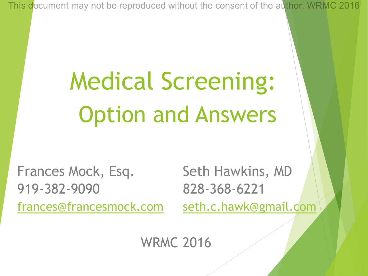# Medical Screening: Option and Answers

Frances Mock, Esq. Seth Hawkins, MD 919-382-9090 828-368-6221 frances@francesmock.com seth.c.hawk@gmail.com

WRMC 2016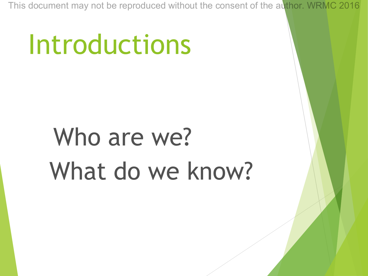# Introductions

# Who are we? What do we know?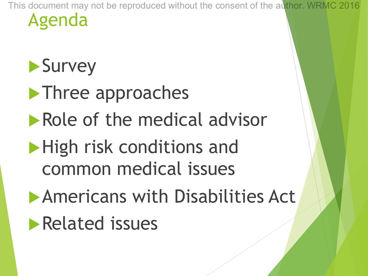#### $\blacktriangleright$  Survey

 $\blacktriangleright$  Three approaches  $\blacktriangleright$  Role of the medical advisor  $\blacktriangleright$  High risk conditions and common medical issues

**Americans with Disabilities Act** 

 $\blacktriangleright$  Related issues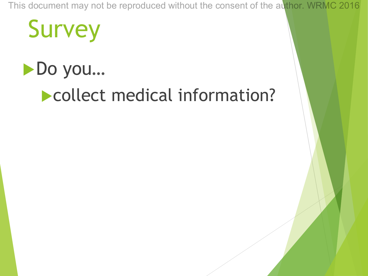## **Survey**



#### **Let collect medical information?**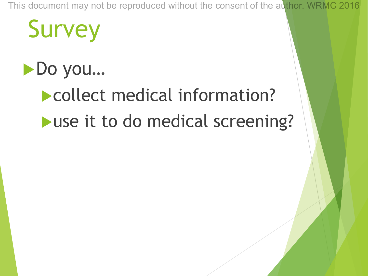## **Survey**

#### ▶ Do you…

### **Collect medical information?**  $\blacktriangleright$  use it to do medical screening?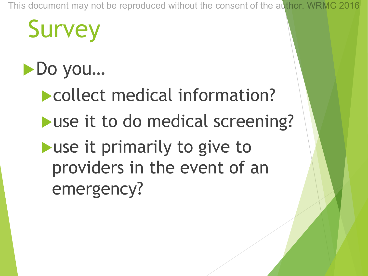# **Survey**

#### ▶ Do you…

**Collect medical information?**  $\blacktriangleright$  use it to do medical screening?  $\blacktriangleright$  use it primarily to give to providers in the event of an emergency?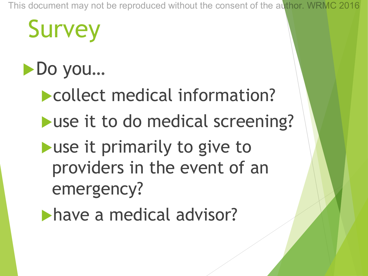# **Survey**

#### ▶ Do you…

**Collect medical information?**  $\blacktriangleright$  use it to do medical screening?  $\blacktriangleright$  use it primarily to give to providers in the event of an emergency?

have a medical advisor?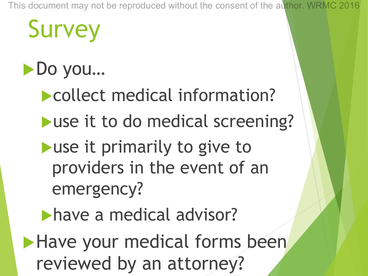# **Survey**

#### ▶ Do you…

- **Collect medical information?**  $\blacktriangleright$  use it to do medical screening?
- $\blacktriangleright$  use it primarily to give to providers in the event of an emergency?
- have a medical advisor?
- Have your medical forms been reviewed by an attorney?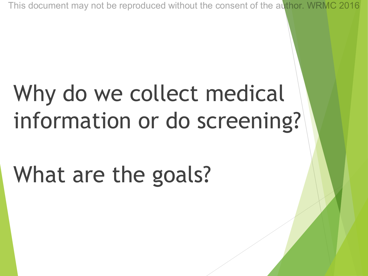## Why do we collect medical information or do screening?

## What are the goals?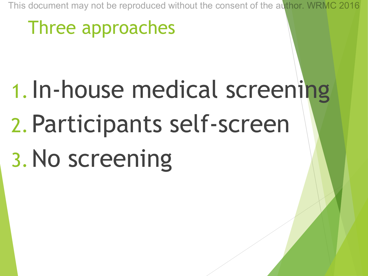#### Three approaches

# 1.In-house medical screening 2.Participants self-screen 3.No screening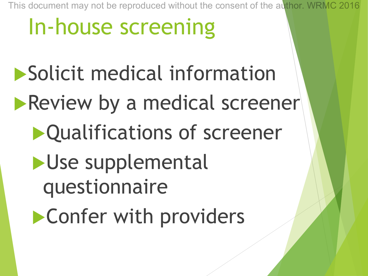## In-house screening

Solicit medical information **Review by a medical screener D**Qualifications of screener  $\blacktriangleright$ Use supplemental questionnaire  $\blacktriangleright$  Confer with providers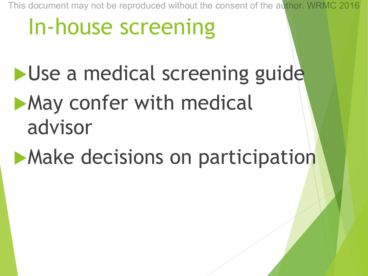## In-house screening

Use a medical screening guide  $\blacktriangleright$  May confer with medical advisor

**Make decisions on participation**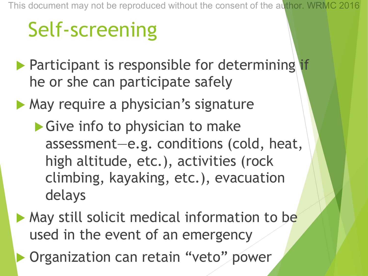## Self-screening

- $\blacktriangleright$  Participant is responsible for determining if he or she can participate safely
- $\blacktriangleright$  May require a physician's signature
	- $\blacktriangleright$  Give info to physician to make assessment—e.g. conditions (cold, heat, high altitude, etc.), activities (rock climbing, kayaking, etc.), evacuation delays
- $\blacktriangleright$  May still solicit medical information to be used in the event of an emergency
	- Organization can retain "veto" power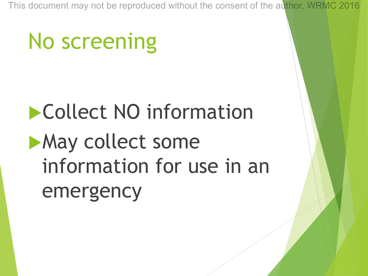## No screening

## **Collect NO information May collect some** information for use in an emergency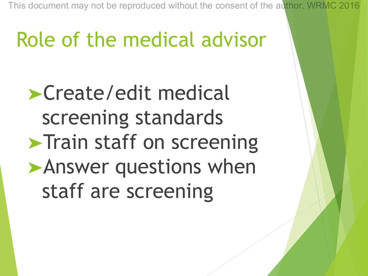### Role of the medical advisor

➤Create/edit medical screening standards **Train staff on screening** ➤Answer questions when staff are screening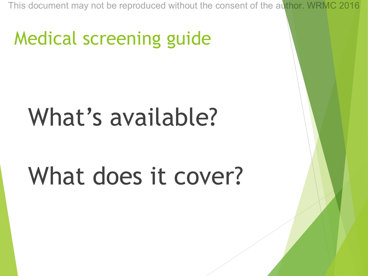#### Medical screening guide

## What's available?

## What does it cover?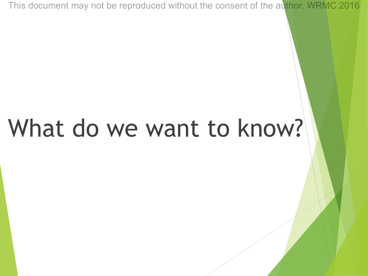# What do we want to know?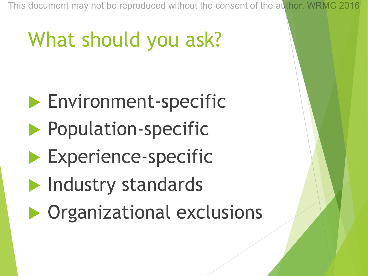## What should you ask?

- $\blacktriangleright$  Environment-specific
- **Population-specific**
- $\blacktriangleright$  Experience-specific
- $\blacktriangleright$  Industry standards
- $\triangleright$  Organizational exclusions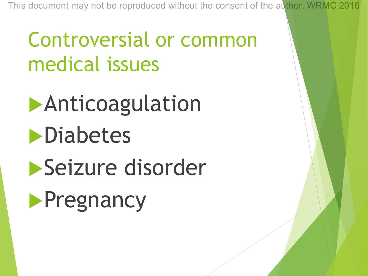#### Controversial or common medical issues

# **Anticoagulation**  $\n$ Diabetes Seizure disorder

## **Pregnancy**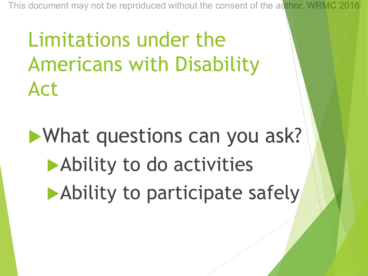Limitations under the Americans with Disability Act

 $\blacktriangleright$  What questions can you ask? Ability to do activities  $\blacktriangleright$  Ability to participate safely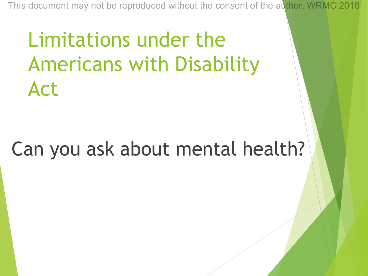Limitations under the Americans with Disability Act

#### Can you ask about mental health?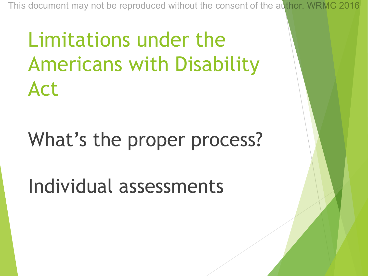Limitations under the Americans with Disability Act

#### What's the proper process?

Individual assessments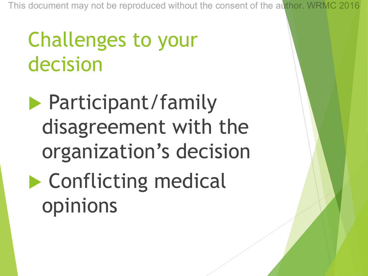#### Challenges to your decision

**Participant/family** disagreement with the organization's decision

 $\blacktriangleright$  Conflicting medical opinions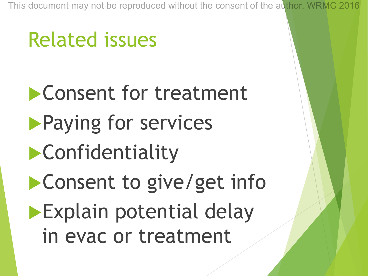### Related issues

**Consent for treatment Paying for services**  $\blacktriangleright$  Confidentiality **Consent to give/get inform**  $\blacktriangleright$  Explain potential delay in evac or treatment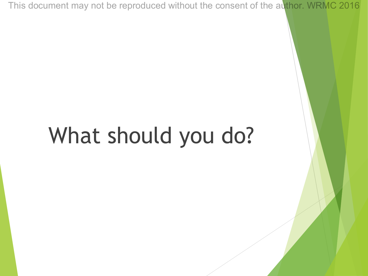## What should you do?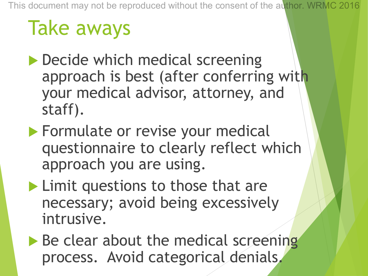## Take aways

- $\blacktriangleright$  Decide which medical screening approach is best (after conferring with your medical advisor, attorney, and staff).
- $\blacktriangleright$  Formulate or revise your medical questionnaire to clearly reflect which approach you are using.
- $\blacktriangleright$  Limit questions to those that are necessary; avoid being excessively intrusive.

 $\blacktriangleright$  Be clear about the medical screening process. Avoid categorical denials.